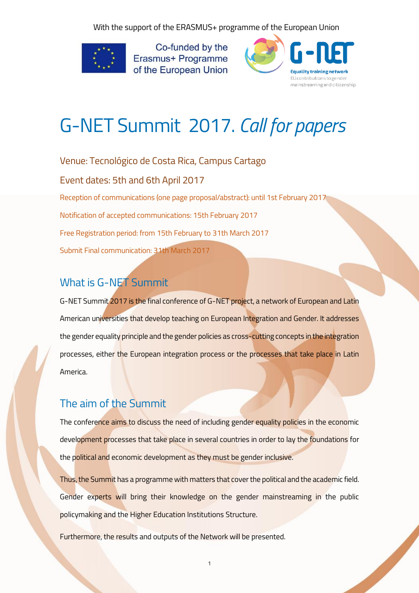With the support of the ERASMUS+ programme of the European Union



Co-funded by the Erasmus+ Programme of the European Union



# G-NET Summit 2017. *Call for papers*

Venue: Tecnológico de Costa Rica, Campus Cartago

Event dates: 5th and 6th April 2017

Reception of communications (one page proposal/abstract): until 1st February 2017

Notification of accepted communications: 15th February 2017

Free Registration period: from 15th February to 31th March 2017

Submit Final communication: 31th March 2017

## What is G-NET Summit

G-NET Summit 2017 is the final conference of G-NET project, a network of European and Latin American universities that develop teaching on European Integration and Gender. It addresses the gender equality principle and the gender policies as cross-cutting concepts in the integration processes, either the European integration process or the processes that take place in Latin America.

### The aim of the Summit

The conference aims to discuss the need of including gender equality policies in the economic development processes that take place in several countries in order to lay the foundations for the political and economic development as they must be gender inclusive.

Thus, the Summit has a programme with matters that cover the political and the academic field. Gender experts will bring their knowledge on the gender mainstreaming in the public policymaking and the Higher Education Institutions Structure.

1

Furthermore, the results and outputs of the Network will be presented.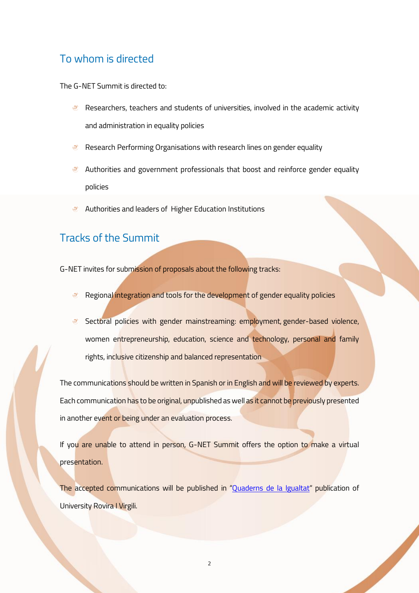#### To whom is directed

The G-NET Summit is directed to:

- **Researchers, teachers and students of universities, involved in the academic activity** and administration in equality policies
- Research Performing Organisations with research lines on gender equality
- **Authorities and government professionals that boost and reinforce gender equality** policies
- $\mathbb{R}^n$ Authorities and leaders of Higher Education Institutions

#### Tracks of the Summit

G-NET invites for submission of proposals about the following tracks:

- **Regional integration and tools for the development of gender equality policies**
- Sectoral policies with gender mainstreaming: employment, gender-based violence,  $\circledcirc$ women entrepreneurship, education, science and technology, personal and family rights, inclusive citizenship and balanced representation

The communications should be written in Spanish or in English and will be reviewed by experts. Each communication has to be original, unpublished as well as it cannot be previously presented in another event or being under an evaluation process.

If you are unable to attend in person, G-NET Summit offers the option to make a virtual presentation.

The accepted communications will be published in "[Quaderns de la Igualtat](http://www.publicacionsurv.cat/llibres-digitals/conflictes/tag/Quaderns%20de%20la%20Igualtat)" publication of University Rovira I Virgili.